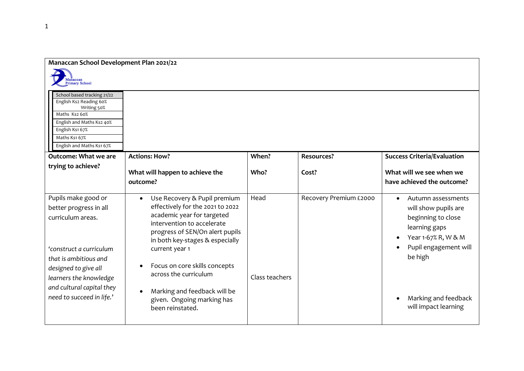| <b>Manaccan School Development Plan 2021/22</b>                                                                     |                                                                                                                                                                                                         |                |                        |                                                                                                                                                             |
|---------------------------------------------------------------------------------------------------------------------|---------------------------------------------------------------------------------------------------------------------------------------------------------------------------------------------------------|----------------|------------------------|-------------------------------------------------------------------------------------------------------------------------------------------------------------|
| Manaccan<br><b>Primary School</b>                                                                                   |                                                                                                                                                                                                         |                |                        |                                                                                                                                                             |
| School based tracking 21/22<br>English Ks2 Reading 60%<br>Writing 50%<br>Maths Ks2 60%<br>English and Maths Ks2 40% |                                                                                                                                                                                                         |                |                        |                                                                                                                                                             |
| English Ks1 67%<br>Maths Ks1 67%                                                                                    |                                                                                                                                                                                                         |                |                        |                                                                                                                                                             |
| English and Maths Ks1 67%                                                                                           |                                                                                                                                                                                                         |                |                        |                                                                                                                                                             |
| <b>Outcome: What we are</b>                                                                                         | <b>Actions: How?</b>                                                                                                                                                                                    | When?          | <b>Resources?</b>      | <b>Success Criteria/Evaluation</b>                                                                                                                          |
| trying to achieve?                                                                                                  | What will happen to achieve the<br>outcome?                                                                                                                                                             | Who?           | Cost?                  | What will we see when we<br>have achieved the outcome?                                                                                                      |
| Pupils make good or<br>better progress in all<br>curriculum areas.                                                  | Use Recovery & Pupil premium<br>٠<br>effectively for the 2021 to 2022<br>academic year for targeted<br>intervention to accelerate<br>progress of SEN/On alert pupils<br>in both key-stages & especially | Head           | Recovery Premium £2000 | Autumn assessments<br>$\bullet$<br>will show pupils are<br>beginning to close<br>learning gaps<br>Year 1-67% R, W & M<br>Pupil engagement will<br>$\bullet$ |
| 'construct a curriculum<br>that is ambitious and<br>designed to give all<br>learners the knowledge                  | current year 1<br>Focus on core skills concepts<br>across the curriculum                                                                                                                                | Class teachers |                        | be high                                                                                                                                                     |
| and cultural capital they<br>need to succeed in life.'                                                              | Marking and feedback will be<br>given. Ongoing marking has<br>been reinstated.                                                                                                                          |                |                        | Marking and feedback<br>will impact learning                                                                                                                |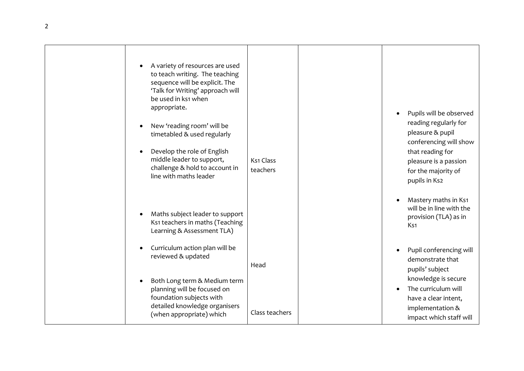| A variety of resources are used<br>to teach writing. The teaching<br>sequence will be explicit. The<br>'Talk for Writing' approach will<br>be used in ks1 when<br>appropriate.<br>New 'reading room' will be<br>timetabled & used regularly<br>Develop the role of English<br>middle leader to support,<br>challenge & hold to account in<br>line with maths leader | Ks1 Class<br>teachers | Pupils will be observed<br>reading regularly for<br>pleasure & pupil<br>conferencing will show<br>that reading for<br>pleasure is a passion<br>for the majority of<br>pupils in Ks2 |
|---------------------------------------------------------------------------------------------------------------------------------------------------------------------------------------------------------------------------------------------------------------------------------------------------------------------------------------------------------------------|-----------------------|-------------------------------------------------------------------------------------------------------------------------------------------------------------------------------------|
| Maths subject leader to support<br>Ks1 teachers in maths (Teaching<br>Learning & Assessment TLA)                                                                                                                                                                                                                                                                    |                       | Mastery maths in Ks1<br>will be in line with the<br>provision (TLA) as in<br>K <sub>s1</sub>                                                                                        |
| Curriculum action plan will be<br>reviewed & updated                                                                                                                                                                                                                                                                                                                | Head                  | Pupil conferencing will<br>demonstrate that<br>pupils' subject                                                                                                                      |
| Both Long term & Medium term<br>planning will be focused on<br>foundation subjects with<br>detailed knowledge organisers<br>(when appropriate) which                                                                                                                                                                                                                | Class teachers        | knowledge is secure<br>The curriculum will<br>have a clear intent,<br>implementation &<br>impact which staff will                                                                   |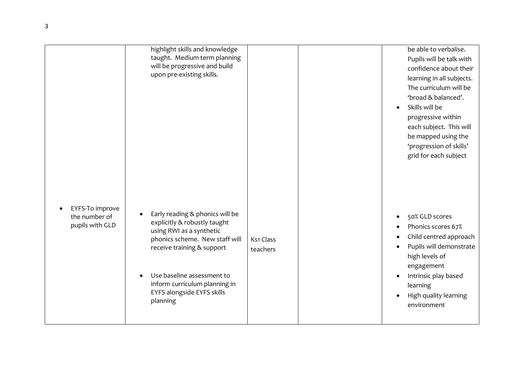|                                                     | highlight skills and knowledge<br>taught. Medium term planning<br>will be progressive and build<br>upon pre-existing skills.                                                                                                                                         |                       | be able to verbalise.<br>Pupils will be talk with<br>confidence about their<br>learning in all subjects.<br>The curriculum will be<br>'broad & balanced'.<br>Skills will be<br>progressive within<br>each subject. This will<br>be mapped using the<br>'progression of skills'<br>grid for each subject |
|-----------------------------------------------------|----------------------------------------------------------------------------------------------------------------------------------------------------------------------------------------------------------------------------------------------------------------------|-----------------------|---------------------------------------------------------------------------------------------------------------------------------------------------------------------------------------------------------------------------------------------------------------------------------------------------------|
| EYFS-To improve<br>the number of<br>pupils with GLD | Early reading & phonics will be<br>explicitly & robustly taught<br>using RWI as a synthetic<br>phonics scheme. New staff will<br>receive training & support<br>Use baseline assessment to<br>inform curriculum planning in<br>EYFS alongside EYFS skills<br>planning | Ks1 Class<br>teachers | 50% GLD scores<br>Phonics scores 67%<br>Child centred approach<br>Pupils will demonstrate<br>high levels of<br>engagement<br>Intrinsic play based<br>learning<br>High quality learning<br>environment                                                                                                   |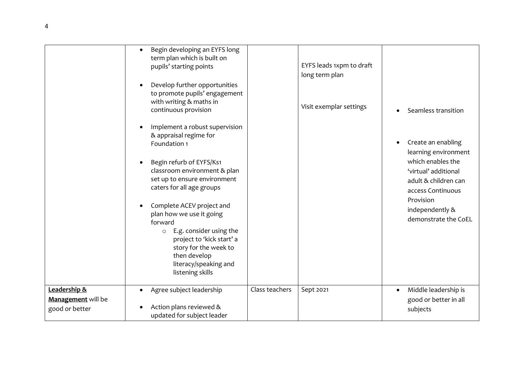|                                                      | Begin developing an EYFS long<br>$\bullet$<br>term plan which is built on<br>pupils' starting points<br>Develop further opportunities<br>$\bullet$<br>to promote pupils' engagement<br>with writing & maths in<br>continuous provision                                                                                                                                                                                                      |                | EYFS leads 1xpm to draft<br>long term plan<br>Visit exemplar settings | Seamless transition                                                                                                                                                                          |
|------------------------------------------------------|---------------------------------------------------------------------------------------------------------------------------------------------------------------------------------------------------------------------------------------------------------------------------------------------------------------------------------------------------------------------------------------------------------------------------------------------|----------------|-----------------------------------------------------------------------|----------------------------------------------------------------------------------------------------------------------------------------------------------------------------------------------|
|                                                      | Implement a robust supervision<br>$\bullet$<br>& appraisal regime for<br>Foundation 1<br>Begin refurb of EYFS/Ks1<br>classroom environment & plan<br>set up to ensure environment<br>caters for all age groups<br>Complete ACEV project and<br>plan how we use it going<br>forward<br>E.g. consider using the<br>$\circ$<br>project to 'kick start' a<br>story for the week to<br>then develop<br>literacy/speaking and<br>listening skills |                |                                                                       | Create an enabling<br>learning environment<br>which enables the<br>'virtual' additional<br>adult & children can<br>access Continuous<br>Provision<br>independently &<br>demonstrate the CoEL |
| Leadership &<br>Management will be<br>good or better | Agree subject leadership<br>$\bullet$<br>Action plans reviewed &<br>updated for subject leader                                                                                                                                                                                                                                                                                                                                              | Class teachers | Sept 2021                                                             | Middle leadership is<br>$\bullet$<br>good or better in all<br>subjects                                                                                                                       |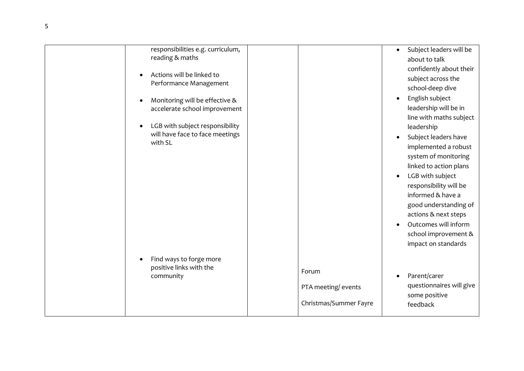| responsibilities e.g. curriculum,<br>reading & maths<br>Actions will be linked to<br>$\bullet$<br>Performance Management<br>Monitoring will be effective &<br>accelerate school improvement<br>LGB with subject responsibility<br>will have face to face meetings<br>with SL |                                                        | Subject leaders will be<br>about to talk<br>confidently about their<br>subject across the<br>school-deep dive<br>English subject<br>$\bullet$<br>leadership will be in<br>line with maths subject<br>leadership<br>Subject leaders have<br>$\bullet$<br>implemented a robust<br>system of monitoring<br>linked to action plans<br>LGB with subject<br>$\bullet$<br>responsibility will be<br>informed & have a<br>good understanding of<br>actions & next steps<br>Outcomes will inform<br>school improvement &<br>impact on standards |
|------------------------------------------------------------------------------------------------------------------------------------------------------------------------------------------------------------------------------------------------------------------------------|--------------------------------------------------------|----------------------------------------------------------------------------------------------------------------------------------------------------------------------------------------------------------------------------------------------------------------------------------------------------------------------------------------------------------------------------------------------------------------------------------------------------------------------------------------------------------------------------------------|
| Find ways to forge more<br>positive links with the<br>community                                                                                                                                                                                                              | Forum<br>PTA meeting/ events<br>Christmas/Summer Fayre | Parent/carer<br>questionnaires will give<br>some positive<br>feedback                                                                                                                                                                                                                                                                                                                                                                                                                                                                  |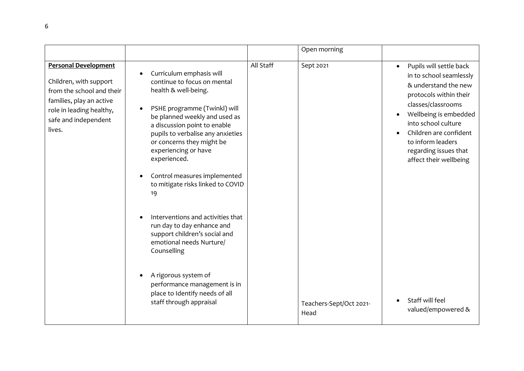|                                                                                                                                                                              |                                                                                                                                                                                                                                                                                                                                                                                                                                                                                                                                                                                                                                                                                               |           | Open morning                                 |                                                                                                                                                                                                                                                                                                                                                 |
|------------------------------------------------------------------------------------------------------------------------------------------------------------------------------|-----------------------------------------------------------------------------------------------------------------------------------------------------------------------------------------------------------------------------------------------------------------------------------------------------------------------------------------------------------------------------------------------------------------------------------------------------------------------------------------------------------------------------------------------------------------------------------------------------------------------------------------------------------------------------------------------|-----------|----------------------------------------------|-------------------------------------------------------------------------------------------------------------------------------------------------------------------------------------------------------------------------------------------------------------------------------------------------------------------------------------------------|
| <b>Personal Development</b><br>Children, with support<br>from the school and their<br>families, play an active<br>role in leading healthy,<br>safe and independent<br>lives. | Curriculum emphasis will<br>$\bullet$<br>continue to focus on mental<br>health & well-being.<br>PSHE programme (Twinkl) will<br>$\bullet$<br>be planned weekly and used as<br>a discussion point to enable<br>pupils to verbalise any anxieties<br>or concerns they might be<br>experiencing or have<br>experienced.<br>Control measures implemented<br>$\bullet$<br>to mitigate risks linked to COVID<br>19<br>Interventions and activities that<br>run day to day enhance and<br>support children's social and<br>emotional needs Nurture/<br>Counselling<br>A rigorous system of<br>$\bullet$<br>performance management is in<br>place to Identify needs of all<br>staff through appraisal | All Staff | Sept 2021<br>Teachers-Sept/Oct 2021-<br>Head | Pupils will settle back<br>$\bullet$<br>in to school seamlessly<br>& understand the new<br>protocols within their<br>classes/classrooms<br>Wellbeing is embedded<br>$\bullet$<br>into school culture<br>Children are confident<br>to inform leaders<br>regarding issues that<br>affect their wellbeing<br>Staff will feel<br>valued/empowered & |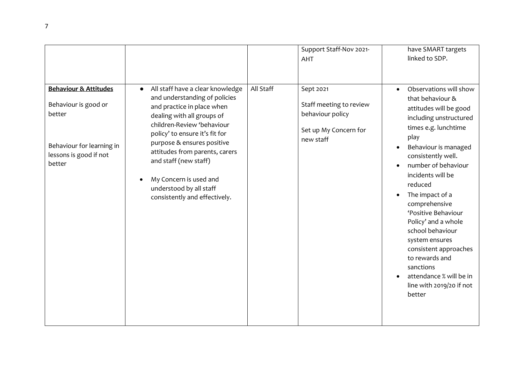|                                                                                                                                                                                                                                                                                                                                                                                                                                                                                                                                                                                                                                                                                                                                                                                                                                                                                                                                           |  | Support Staff-Nov 2021-<br><b>AHT</b> | have SMART targets<br>linked to SDP.                                                                                                                                                                                              |
|-------------------------------------------------------------------------------------------------------------------------------------------------------------------------------------------------------------------------------------------------------------------------------------------------------------------------------------------------------------------------------------------------------------------------------------------------------------------------------------------------------------------------------------------------------------------------------------------------------------------------------------------------------------------------------------------------------------------------------------------------------------------------------------------------------------------------------------------------------------------------------------------------------------------------------------------|--|---------------------------------------|-----------------------------------------------------------------------------------------------------------------------------------------------------------------------------------------------------------------------------------|
| All Staff<br><b>Behaviour &amp; Attitudes</b><br>All staff have a clear knowledge<br>Sept 2021<br>$\bullet$<br>$\bullet$<br>and understanding of policies<br>that behaviour &<br>Behaviour is good or<br>Staff meeting to review<br>and practice in place when<br>behaviour policy<br>better<br>dealing with all groups of<br>children-Review 'behaviour<br>Set up My Concern for<br>policy' to ensure it's fit for<br>play<br>new staff<br>purpose & ensures positive<br>Behaviour for learning in<br>$\bullet$<br>attitudes from parents, carers<br>lessons is good if not<br>consistently well.<br>and staff (new staff)<br>better<br>incidents will be<br>My Concern is used and<br>$\bullet$<br>reduced<br>understood by all staff<br>The impact of a<br>consistently and effectively.<br>comprehensive<br>'Positive Behaviour<br>Policy' and a whole<br>school behaviour<br>system ensures<br>to rewards and<br>sanctions<br>better |  |                                       | Observations will show<br>attitudes will be good<br>including unstructured<br>times e.g. lunchtime<br>Behaviour is managed<br>number of behaviour<br>consistent approaches<br>attendance % will be in<br>line with 2019/20 if not |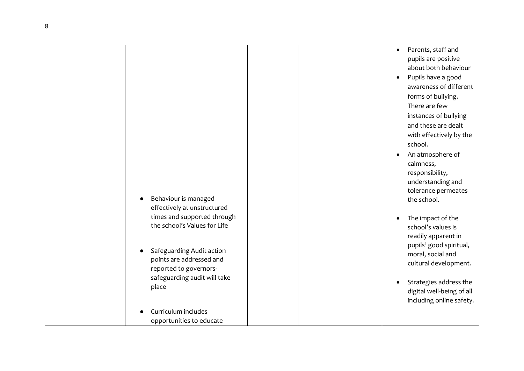